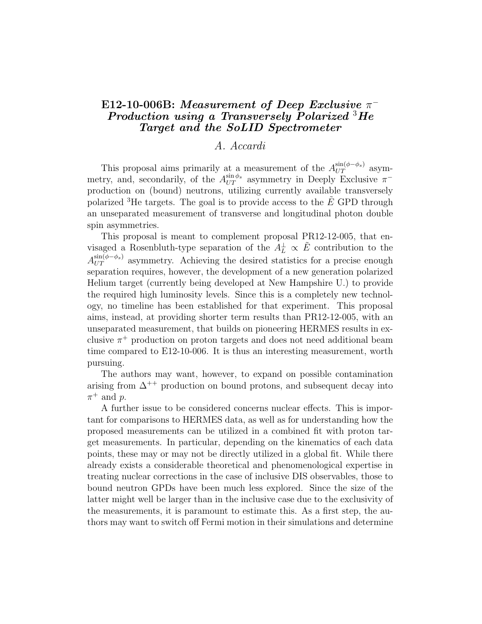## $\text{E}12\text{-}10\text{-}006\text{B}$ : Measurement of Deep Exclusive  $\pi^+$ Production using a Transversely Polarized  ${}^{3}He$ Target and the SoLID Spectrometer

## A. Accardi

This proposal aims primarily at a measurement of the  $A_{UT}^{\sin(\phi-\phi_s)}$  asymmetry, and, secondarily, of the  $A_{UT}^{\sin \phi_s}$  asymmetry in Deeply Exclusive  $\pi^$ production on (bound) neutrons, utilizing currently available transversely polarized <sup>3</sup>He targets. The goal is to provide access to the  $E$  GPD through an unseparated measurement of transverse and longitudinal photon double spin asymmetries.

This proposal is meant to complement proposal PR12-12-005, that envisaged a Rosenbluth-type separation of the  $A_L^{\perp} \propto \tilde{E}$  contribution to the  $A_{UT}^{\sin(\phi-\phi_s)}$  asymmetry. Achieving the desired statistics for a precise enough separation requires, however, the development of a new generation polarized Helium target (currently being developed at New Hampshire U.) to provide the required high luminosity levels. Since this is a completely new technology, no timeline has been established for that experiment. This proposal aims, instead, at providing shorter term results than PR12-12-005, with an unseparated measurement, that builds on pioneering HERMES results in exclusive  $\pi^+$  production on proton targets and does not need additional beam time compared to E12-10-006. It is thus an interesting measurement, worth pursuing.

The authors may want, however, to expand on possible contamination arising from  $\Delta^{++}$  production on bound protons, and subsequent decay into  $\pi^+$  and p.

A further issue to be considered concerns nuclear effects. This is important for comparisons to HERMES data, as well as for understanding how the proposed measurements can be utilized in a combined fit with proton target measurements. In particular, depending on the kinematics of each data points, these may or may not be directly utilized in a global fit. While there already exists a considerable theoretical and phenomenological expertise in treating nuclear corrections in the case of inclusive DIS observables, those to bound neutron GPDs have been much less explored. Since the size of the latter might well be larger than in the inclusive case due to the exclusivity of the measurements, it is paramount to estimate this. As a first step, the authors may want to switch off Fermi motion in their simulations and determine